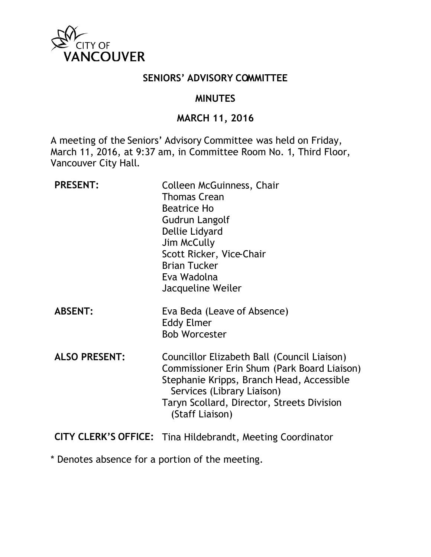

### **SENIORS' ADVISORY COMMITTEE**

### **MINUTES**

### **MARCH 11, 2016**

A meeting of the Seniors' Advisory Committee was held on Friday, March 11, 2016, at 9:37 am, in Committee Room No. 1, Third Floor, Vancouver City Hall.

| <b>PRESENT:</b>             | Colleen McGuinness, Chair<br>Thomas Crean<br><b>Beatrice Ho</b><br>Gudrun Langolf<br>Dellie Lidyard<br>Jim McCully<br>Scott Ricker, Vice-Chair<br><b>Brian Tucker</b><br>Eva Wadolna<br>Jacqueline Weiler                              |
|-----------------------------|----------------------------------------------------------------------------------------------------------------------------------------------------------------------------------------------------------------------------------------|
| <b>ABSENT:</b>              | Eva Beda (Leave of Absence)<br><b>Eddy Elmer</b><br><b>Bob Worcester</b>                                                                                                                                                               |
| <b>ALSO PRESENT:</b>        | Councillor Elizabeth Ball (Council Liaison)<br>Commissioner Erin Shum (Park Board Liaison)<br>Stephanie Kripps, Branch Head, Accessible<br>Services (Library Liaison)<br>Taryn Scollard, Director, Streets Division<br>(Staff Liaison) |
| <b>CITY CLERK'S OFFICE:</b> | Tina Hildebrandt, Meeting Coordinator                                                                                                                                                                                                  |

\* Denotes absence for a portion of the meeting.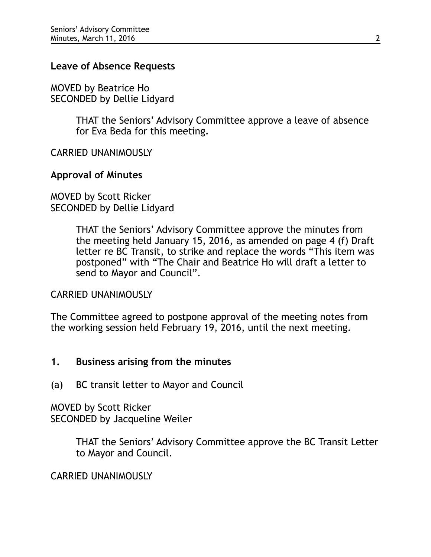### **Leave of Absence Requests**

MOVED by Beatrice Ho SECONDED by Dellie Lidyard

> THAT the Seniors' Advisory Committee approve a leave of absence for Eva Beda for this meeting.

CARRIED UNANIMOUSLY

### **Approval of Minutes**

MOVED by Scott Ricker SECONDED by Dellie Lidyard

> THAT the Seniors' Advisory Committee approve the minutes from the meeting held January 15, 2016, as amended on page 4 (f) Draft letter re BC Transit, to strike and replace the words "This item was postponed" with "The Chair and Beatrice Ho will draft a letter to send to Mayor and Council".

#### CARRIED UNANIMOUSLY

The Committee agreed to postpone approval of the meeting notes from the working session held February 19, 2016, until the next meeting.

### **1. Business arising from the minutes**

(a) BC transit letter to Mayor and Council

MOVED by Scott Ricker SECONDED by Jacqueline Weiler

> THAT the Seniors' Advisory Committee approve the BC Transit Letter to Mayor and Council.

CARRIED UNANIMOUSLY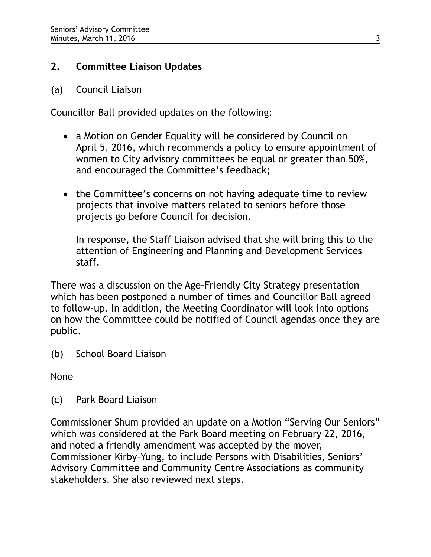# **2. Committee Liaison Updates**

## (a) Council Liaison

Councillor Ball provided updates on the following:

- a Motion on Gender Equality will be considered by Council on April 5, 2016, which recommends a policy to ensure appointment of women to City advisory committees be equal or greater than 50%, and encouraged the Committee's feedback;
- the Committee's concerns on not having adequate time to review projects that involve matters related to seniors before those projects go before Council for decision.

In response, the Staff Liaison advised that she will bring this to the attention of Engineering and Planning and Development Services staff.

There was a discussion on the Age-Friendly City Strategy presentation which has been postponed a number of times and Councillor Ball agreed to follow-up. In addition, the Meeting Coordinator will look into options on how the Committee could be notified of Council agendas once they are public.

(b) School Board Liaison

None

(c) Park Board Liaison

Commissioner Shum provided an update on a Motion "Serving Our Seniors" which was considered at the Park Board meeting on February 22, 2016, and noted a friendly amendment was accepted by the mover, Commissioner Kirby-Yung, to include Persons with Disabilities, Seniors' Advisory Committee and Community Centre Associations as community stakeholders. She also reviewed next steps.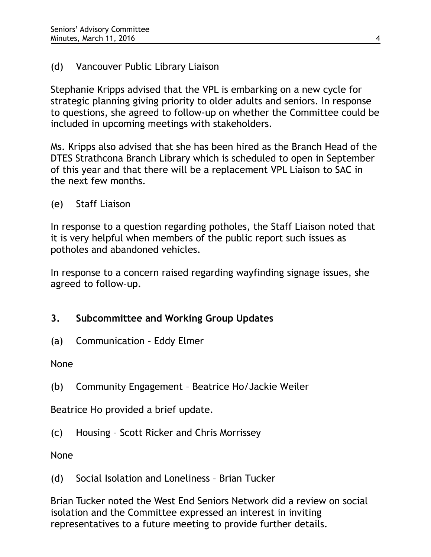# (d) Vancouver Public Library Liaison

Stephanie Kripps advised that the VPL is embarking on a new cycle for strategic planning giving priority to older adults and seniors. In response to questions, she agreed to follow-up on whether the Committee could be included in upcoming meetings with stakeholders.

Ms. Kripps also advised that she has been hired as the Branch Head of the DTES Strathcona Branch Library which is scheduled to open in September of this year and that there will be a replacement VPL Liaison to SAC in the next few months.

# (e) Staff Liaison

In response to a question regarding potholes, the Staff Liaison noted that it is very helpful when members of the public report such issues as potholes and abandoned vehicles.

In response to a concern raised regarding wayfinding signage issues, she agreed to follow-up.

# **3. Subcommittee and Working Group Updates**

(a) Communication – Eddy Elmer

None

(b) Community Engagement – Beatrice Ho/Jackie Weiler

Beatrice Ho provided a brief update.

(c) Housing – Scott Ricker and Chris Morrissey

None

(d) Social Isolation and Loneliness – Brian Tucker

Brian Tucker noted the West End Seniors Network did a review on social isolation and the Committee expressed an interest in inviting representatives to a future meeting to provide further details.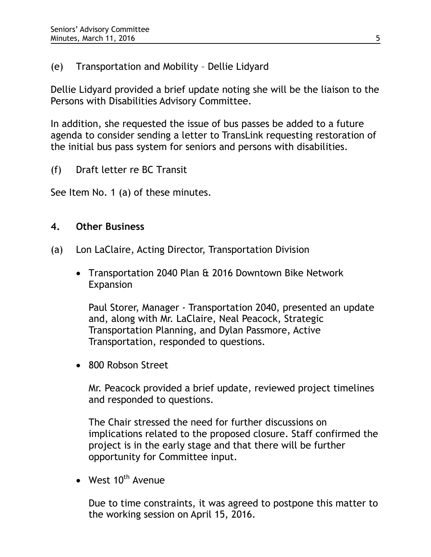# (e) Transportation and Mobility – Dellie Lidyard

Dellie Lidyard provided a brief update noting she will be the liaison to the Persons with Disabilities Advisory Committee.

In addition, she requested the issue of bus passes be added to a future agenda to consider sending a letter to TransLink requesting restoration of the initial bus pass system for seniors and persons with disabilities.

(f) Draft letter re BC Transit

See Item No. 1 (a) of these minutes.

# **4. Other Business**

- (a) Lon LaClaire, Acting Director, Transportation Division
	- Transportation 2040 Plan & 2016 Downtown Bike Network Expansion

Paul Storer, Manager - Transportation 2040, presented an update and, along with Mr. LaClaire, Neal Peacock, Strategic Transportation Planning, and Dylan Passmore, Active Transportation, responded to questions.

• 800 Robson Street

Mr. Peacock provided a brief update, reviewed project timelines and responded to questions.

The Chair stressed the need for further discussions on implications related to the proposed closure. Staff confirmed the project is in the early stage and that there will be further opportunity for Committee input.

• West  $10^{th}$  Avenue

Due to time constraints, it was agreed to postpone this matter to the working session on April 15, 2016.